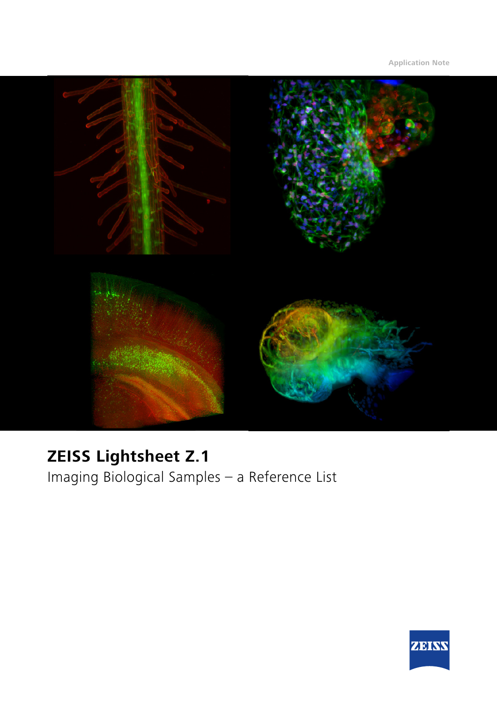

# **ZEISS Lightsheet Z.1**

Imaging Biological Samples – a Reference List

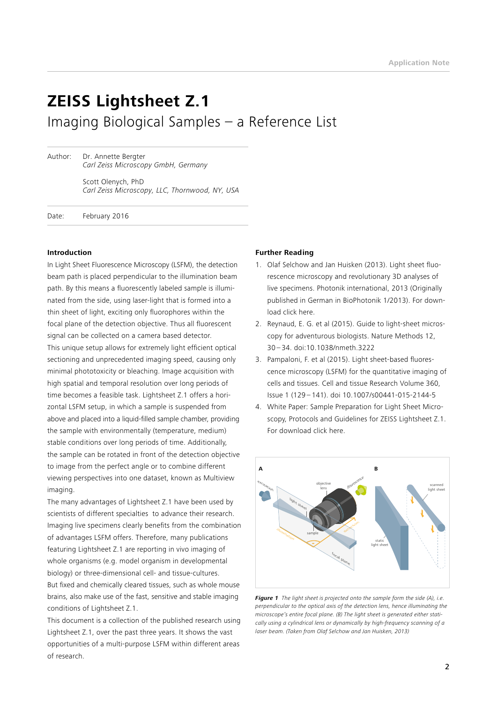# **ZEISS Lightsheet Z.1** Imaging Biological Samples – a Reference List

Author: Dr. Annette Bergter  *Carl Zeiss Microscopy GmbH, Germany*

> Scott Olenych, PhD *Carl Zeiss Microscopy, LLC, Thornwood, NY, USA*

Date: February 2016

#### **Introduction**

In Light Sheet Fluorescence Microscopy (LSFM), the detection beam path is placed perpendicular to the illumination beam path. By this means a fluorescently labeled sample is illuminated from the side, using laser-light that is formed into a thin sheet of light, exciting only fluorophores within the focal plane of the detection objective. Thus all fluorescent signal can be collected on a camera based detector. This unique setup allows for extremely light efficient optical sectioning and unprecedented imaging speed, causing only minimal phototoxicity or bleaching. Image acquisition with high spatial and temporal resolution over long periods of time becomes a feasible task. Lightsheet Z.1 offers a horizontal LSFM setup, in which a sample is suspended from above and placed into a liquid-filled sample chamber, providing the sample with environmentally (temperature, medium) stable conditions over long periods of time. Additionally, the sample can be rotated in front of the detection objective to image from the perfect angle or to combine different viewing perspectives into one dataset, known as Multiview imaging.

The many advantages of Lightsheet Z.1 have been used by scientists of different specialties to advance their research. Imaging live specimens clearly benefits from the combination of advantages LSFM offers. Therefore, many publications featuring Lightsheet Z.1 are reporting in vivo imaging of whole organisms (e.g. model organism in developmental biology) or three-dimensional cell- and tissue-cultures. But fixed and chemically cleared tissues, such as whole mouse brains, also make use of the fast, sensitive and stable imaging conditions of Lightsheet Z.1.

This document is a collection of the published research using Lightsheet Z.1, over the past three years. It shows the vast opportunities of a multi-purpose LSFM within different areas of research.

#### **Further Reading**

- 1. Olaf Selchow and Jan Huisken (2013). Light sheet fluorescence microscopy and revolutionary 3D analyses of live specimens. Photonik international, 2013 (Originally published in German in BioPhotonik 1/2013). For download [click here.](https://www.zeiss.com/content/dam/Microscopy/Products/imaging-systems/Lightsheet Z1/photonik_intl_2013_01_044_HiRes.pdf)
- 2. Reynaud, E. G. et al (2015). Guide to light-sheet microscopy for adventurous biologists. Nature Methods 12, 30 – 34. [doi:10.1038/nmeth.3222](http://www.nature.com/nmeth/journal/v12/n1/full/nmeth.3222.html)
- 3. Pampaloni, F. et al (2015). Light sheet-based fluorescence microscopy (LSFM) for the quantitative imaging of cells and tissues. Cell and tissue Research Volume 360, Issue 1 (129 – 141). [doi 10.1007/s00441-015-2144-5](http://dx.doi.org/10.1007/s00441-015-2144-5)
- 4. White Paper: Sample Preparation for Light Sheet Microscopy, Protocols and Guidelines for ZEISS Lightsheet Z.1. For download [click here](http://applications.zeiss.com/C125792900358A3F/0/E6504BFCBC3C2D39C1257BD500417CA6/$FILE/EN_41_011_058_LightsheetZ1_Sample-Preparation.pdf).



*Figure 1 The light sheet is projected onto the sample form the side (A), i.e. perpendicular to the optical axis of the detection lens, hence illuminating the microscope's entire focal plane. (B) The light sheet is generated either statically using a cylindrical lens or dynamically by high-frequency scanning of a laser beam. (Taken from Olaf Selchow and Jan Huisken, 2013)*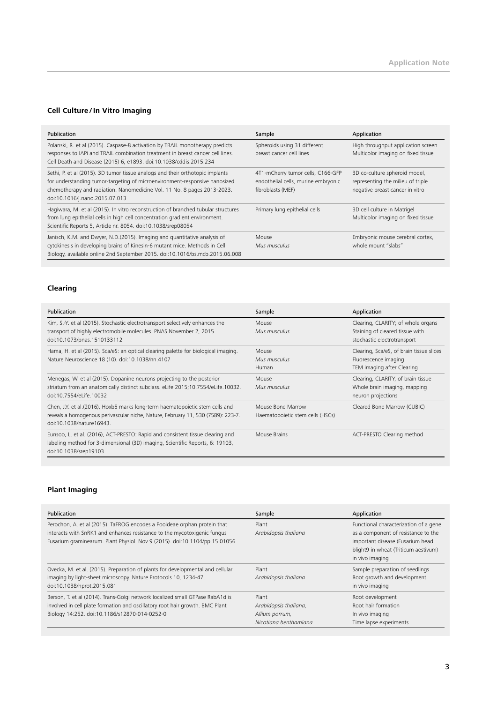# **Cell Culture / In Vitro Imaging**

| Publication                                                                                                                                                                                                                                                              | Sample                                                                                        | Application                                                                                           |
|--------------------------------------------------------------------------------------------------------------------------------------------------------------------------------------------------------------------------------------------------------------------------|-----------------------------------------------------------------------------------------------|-------------------------------------------------------------------------------------------------------|
| Polanski, R. et al (2015). Caspase-8 activation by TRAIL monotherapy predicts<br>responses to IAPi and TRAIL combination treatment in breast cancer cell lines.<br>Cell Death and Disease (2015) 6, e1893. doi:10.1038/cddis.2015.234                                    | Spheroids using 31 different<br>breast cancer cell lines                                      | High throughput application screen<br>Multicolor imaging on fixed tissue                              |
| Sethi, P. et al (2015). 3D tumor tissue analogs and their orthotopic implants<br>for understanding tumor-targeting of microenvironment-responsive nanosized<br>chemotherapy and radiation. Nanomedicine Vol. 11 No. 8 pages 2013-2023.<br>doi:10.1016/j.nano.2015.07.013 | 4T1-mCherry tumor cells, C166-GFP<br>endothelial cells, murine embryonic<br>fibroblasts (MEF) | 3D co-culture spheroid model,<br>representing the milieu of triple<br>negative breast cancer in vitro |
| Hagiwara, M. et al (2015). In vitro reconstruction of branched tubular structures<br>from lung epithelial cells in high cell concentration gradient environment.<br>Scientific Reports 5, Article nr. 8054. doi:10.1038/srep08054                                        | Primary lung epithelial cells                                                                 | 3D cell culture in Matrigel<br>Multicolor imaging on fixed tissue                                     |
| Janisch, K.M. and Dwyer, N.D.(2015). Imaging and quantitative analysis of<br>cytokinesis in developing brains of Kinesin-6 mutant mice. Methods in Cell<br>Biology, available online 2nd September 2015. doi:10.1016/bs.mcb.2015.06.008                                  | Mouse<br>Mus musculus                                                                         | Embryonic mouse cerebral cortex,<br>whole mount "slabs"                                               |

# **Clearing**

| Publication                                                                                                                                                                                  | Sample                                                | Application                                                                                          |
|----------------------------------------------------------------------------------------------------------------------------------------------------------------------------------------------|-------------------------------------------------------|------------------------------------------------------------------------------------------------------|
| Kim, S.-Y. et al (2015). Stochastic electrotransport selectively enhances the<br>transport of highly electromobile molecules. PNAS November 2, 2015.<br>doi:10.1073/pnas.1510133112          | Mouse<br>Mus musculus                                 | Clearing, CLARITY; of whole organs<br>Staining of cleared tissue with<br>stochastic electrotransport |
| Hama, H. et al (2015). Sca/eS: an optical clearing palette for biological imaging.<br>Nature Neuroscience 18 (10). doi:10.1038/nn.4107                                                       | Mouse<br>Mus musculus<br>Human                        | Clearing, Sca/eS, of brain tissue slices<br>Fluorescence imaging<br>TEM imaging after Clearing       |
| Menegas, W. et al (2015). Dopanine neurons projecting to the posterior<br>striatum from an anatomically distinct subclass. eLife 2015;10.7554/eLife.10032.<br>doi:10.7554/el ife.10032       | Mouse<br>Mus musculus                                 | Clearing, CLARITY, of brain tissue<br>Whole brain imaging, mapping<br>neuron projections             |
| Chen, J.Y. et al.(2016), Hoxb5 marks long-term haematopoietic stem cells and<br>reveals a homogenous perivascular niche, Nature, February 11, 530 (7589): 223-7.<br>doi:10.1038/nature16943. | Mouse Bone Marrow<br>Haematopoietic stem cells (HSCs) | Cleared Bone Marrow (CUBIC)                                                                          |
| Eunsoo, L. et al. (2016), ACT-PRESTO: Rapid and consistent tissue clearing and<br>labeling method for 3-dimensional (3D) imaging, Scientific Reports, 6: 19103,<br>doi:10.1038/srep19103     | Mouse Brains                                          | ACT-PRESTO Clearing method                                                                           |

# **Plant Imaging**

| Publication                                                                                                                                                                                                                        | Sample                                                                    | Application                                                                                                                                                                 |
|------------------------------------------------------------------------------------------------------------------------------------------------------------------------------------------------------------------------------------|---------------------------------------------------------------------------|-----------------------------------------------------------------------------------------------------------------------------------------------------------------------------|
| Perochon, A. et al (2015). TaFROG encodes a Pooideae orphan protein that<br>interacts with SnRK1 and enhances resistance to the mycotoxigenic fungus<br>Fusarium graminearum. Plant Physiol. Nov 9 (2015). doi:10.1104/pp.15.01056 | Plant<br>Arabidopsis thaliana                                             | Functional characterization of a gene<br>as a component of resistance to the<br>important disease (Fusarium head<br>blight9 in wheat (Triticum aestivum)<br>in vivo imaging |
| Ovecka, M. et al. (2015). Preparation of plants for developmental and cellular<br>imaging by light-sheet microscopy. Nature Protocols 10, 1234-47.<br>doi:10.1038/nprot.2015.081                                                   | Plant<br>Arabidopsis thaliana                                             | Sample preparation of seedlings<br>Root growth and development<br>in vivo imaging                                                                                           |
| Berson, T. et al (2014). Trans-Golgi network localized small GTPase RabA1d is<br>involved in cell plate formation and oscillatory root hair growth. BMC Plant<br>Biology 14:252. doi:10.1186/s12870-014-0252-0                     | Plant<br>Arabidopsis thaliana,<br>Allium porrum,<br>Nicotiana benthamiana | Root development<br>Root hair formation<br>In vivo imaging<br>Time lapse experiments                                                                                        |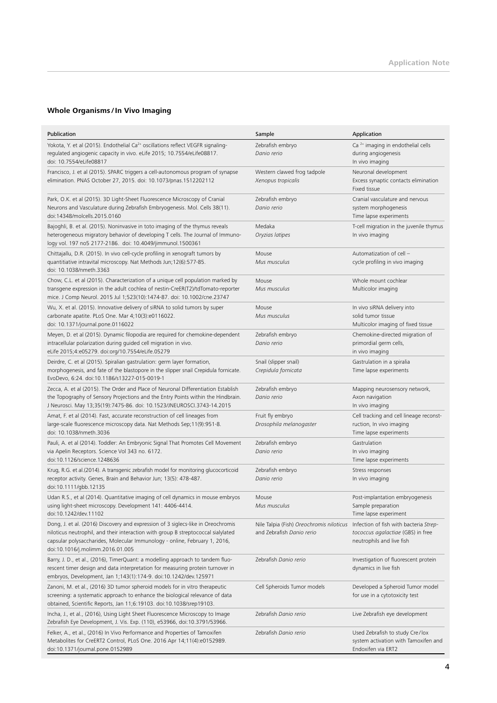# **Whole Organisms / In Vivo Imaging**

| Publication                                                                                                                                                                                                                                                                             | Sample                                                                | Application                                                                                              |
|-----------------------------------------------------------------------------------------------------------------------------------------------------------------------------------------------------------------------------------------------------------------------------------------|-----------------------------------------------------------------------|----------------------------------------------------------------------------------------------------------|
| Yokota, Y. et al (2015). Endothelial Ca <sup>2+</sup> oscillations reflect VEGFR signaling-<br>regulated angiogenic capacity in vivo. eLife 2015; 10.7554/eLife08817.<br>doi: 10.7554/eLife08817                                                                                        | Zebrafish embryo<br>Danio rerio                                       | Ca <sup>2+</sup> imaging in endothelial cells<br>during angiogenesis<br>In vivo imaging                  |
| Francisco, J. et al (2015). SPARC triggers a cell-autonomous program of synapse<br>elimination. PNAS October 27, 2015. doi: 10.1073/pnas.1512202112                                                                                                                                     | Western clawed frog tadpole<br>Xenopus tropicalis                     | Neuronal development<br>Excess synaptic contacts elimination<br>Fixed tissue                             |
| Park, O.K. et al (2015). 3D Light-Sheet Fluorescence Microscopy of Cranial<br>Neurons and Vasculature during Zebrafish Embryogenesis. Mol. Cells 38(11).<br>doi:14348/molcells.2015.0160                                                                                                | Zebrafish embryo<br>Danio rerio                                       | Cranial vasculature and nervous<br>system morphogenesis<br>Time lapse experiments                        |
| Bajoghli, B. et al. (2015). Noninvasive in toto imaging of the thymus reveals<br>heterogeneous migratory behavior of developing T cells. The Journal of Immuno-<br>logy vol. 197 no5 2177-2186. doi: 10.4049/jimmunol.1500361                                                           | Medaka<br>Oryzias latipes                                             | T-cell migration in the juvenile thymus<br>In vivo imaging                                               |
| Chittajallu, D.R. (2015). In vivo cell-cycle profiling in xenograft tumors by<br>quantitiative intravital microscopy. Nat Methods Jun; 12(6):577-85.<br>doi: 10.1038/nmeth.3363                                                                                                         | Mouse<br>Mus musculus                                                 | Automatization of cell -<br>cycle profiling in vivo imaging                                              |
| Chow, C.L. et al (2015). Characterization of a unique cell population marked by<br>transgene expression in the adult cochlea of nestin-CreER(T2)/tdTomato-reporter<br>mice. J Comp Neurol. 2015 Jul 1;523(10):1474-87. doi: 10.1002/cne.23747                                           | Mouse<br>Mus musculus                                                 | Whole mount cochlear<br>Multicolor imaging                                                               |
| Wu, X. et al. (2015). Innovative delivery of siRNA to solid tumors by super<br>carbonate apatite. PLoS One. Mar 4;10(3):e0116022.<br>doi: 10.1371/journal.pone.0116022                                                                                                                  | Mouse<br>Mus musculus                                                 | In vivo siRNA delivery into<br>solid tumor tissue<br>Multicolor imaging of fixed tissue                  |
| Meyen, D. et al (2015). Dynamic filopodia are required for chemokine-dependent<br>intracellular polarization during guided cell migration in vivo.<br>eLife 2015;4:e05279. doi:org/10.7554/eLife.05279                                                                                  | Zebrafish embryo<br>Danio rerio                                       | Chemokine-directed migration of<br>primordial germ cells,<br>in vivo imaging                             |
| Deirdre, C. et al (2015). Spiralian gastrulation: germ layer formation,<br>morphogenesis, and fate of the blastopore in the slipper snail Crepidula fornicate.<br>EvoDevo, 6:24. doi:10.1186/s13227-015-0019-1                                                                          | Snail (slipper snail)<br>Crepidula fornicata                          | Gastrulation in a spiralia<br>Time lapse experiments                                                     |
| Zecca, A. et al (2015). The Order and Place of Neuronal Differentiation Establish<br>the Topography of Sensory Projections and the Entry Points within the Hindbrain.<br>J Neurosci. May 13;35(19):7475-86. doi: 10.1523/JNEUROSCI.3743-14.2015                                         | Zebrafish embryo<br>Danio rerio                                       | Mapping neurosensory network,<br>Axon navigation<br>In vivo imaging                                      |
| Amat, F. et al (2014). Fast, accurate reconstruction of cell lineages from<br>large-scale fluorescence microscopy data. Nat Methods Sep;11(9):951-8.<br>doi: 10.1038/nmeth.3036                                                                                                         | Fruit fly embryo<br>Drosophila melanogaster                           | Cell tracking and cell lineage reconst-<br>ruction, In vivo imaging<br>Time lapse experiments            |
| Pauli, A. et al (2014). Toddler: An Embryonic Signal That Promotes Cell Movement<br>via Apelin Receptors. Science Vol 343 no. 6172.<br>doi:10.1126/science.1248636                                                                                                                      | Zebrafish embryo<br>Danio rerio                                       | Gastrulation<br>In vivo imaging<br>Time lapse experiments                                                |
| Krug, R.G. et al. (2014). A transgenic zebrafish model for monitoring glucocorticoid<br>receptor activity. Genes, Brain and Behavior Jun; 13(5): 478-487.<br>doi:10.1111/gbb.12135                                                                                                      | Zebrafish embryo<br>Danio rerio                                       | Stress responses<br>In vivo imaging                                                                      |
| Udan R.S., et al (2014). Quantitative imaging of cell dynamics in mouse embryos<br>using light-sheet microscopy. Development 141: 4406-4414.<br>doi:10.1242/dev.11102                                                                                                                   | Mouse<br>Mus musculus                                                 | Post-implantation embryogenesis<br>Sample preparation<br>Time lapse experiment                           |
| Dong, J. et al. (2016) Discovery and expression of 3 siglecs-like in Oreochromis<br>niloticus neutrophil, and their interaction with group B streptococcal sialylated<br>capsular polysaccharides, Molecular Immunology - online, February 1, 2016,<br>doi:10.1016/j.molimm.2016.01.005 | Nile Talpia (Fish) Oreochromis niloticus<br>and Zebrafish Danio rerio | Infection of fish with bacteria Strep-<br>tococcus agalactiae (GBS) in free<br>neutrophils and live fish |
| Barry, J. D., et al., (2016), TimerQuant: a modelling approach to tandem fluo-<br>rescent timer design and data interpretation for measuring protein turnover in<br>embryos, Development, Jan 1;143(1):174-9. doi:10.1242/dev.125971                                                    | Zebrafish Danio rerio                                                 | Investigation of fluorescent protein<br>dynamics in live fish                                            |
| Zanoni, M. et al., (2016) 3D tumor spheroid models for in vitro therapeutic<br>screening: a systematic approach to enhance the biological relevance of data<br>obtained, Scientific Reports, Jan 11;6:19103. doi:10.1038/srep19103.                                                     | Cell Spheroids Tumor models                                           | Developed a Spheroid Tumor model<br>for use in a cytotoxicity test                                       |
| Incha, J., et al., (2016), Using Light Sheet Fluorescence Microscopy to Image<br>Zebrafish Eye Development, J. Vis. Exp. (110), e53966, doi:10.3791/53966.                                                                                                                              | Zebrafish Danio rerio                                                 | Live Zebrafish eye development                                                                           |
| Felker, A., et al., (2016) In Vivo Performance and Properties of Tamoxifen<br>Metabolites for CreERT2 Control, PLoS One. 2016 Apr 14;11(4):e0152989.<br>doi:10.1371/journal.pone.0152989                                                                                                | Zebrafish Danio rerio                                                 | Used Zebrafish to study Cre/lox<br>system activation with Tamoxifen and<br>Endoxifen via ERT2            |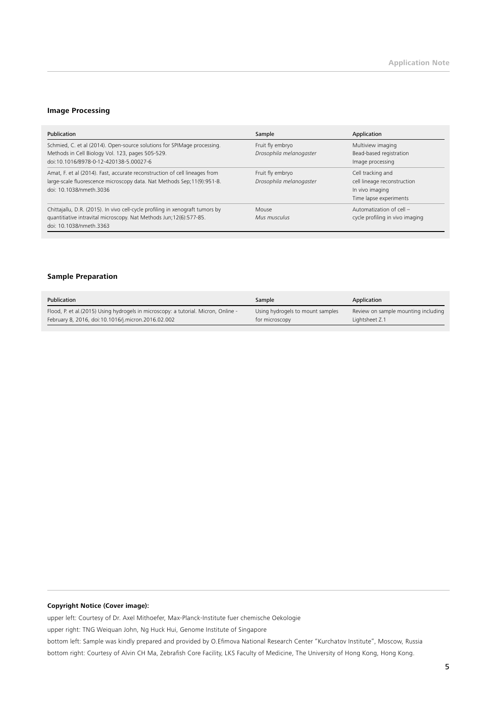#### **Image Processing**

| Publication                                                                                                                                                                     | Sample                                      | Application                                                                                   |
|---------------------------------------------------------------------------------------------------------------------------------------------------------------------------------|---------------------------------------------|-----------------------------------------------------------------------------------------------|
| Schmied, C. et al (2014). Open-source solutions for SPIMage processing.<br>Methods in Cell Biology Vol. 123, pages 505-529.<br>doi:10.1016/B978-0-12-420138-5.00027-6           | Fruit fly embryo<br>Drosophila melanogaster | Multiview imaging<br>Bead-based registration<br>Image processing                              |
| Amat, F. et al (2014). Fast, accurate reconstruction of cell lineages from<br>large-scale fluorescence microscopy data. Nat Methods Sep;11(9):951-8.<br>doi: 10.1038/nmeth.3036 | Fruit fly embryo<br>Drosophila melanogaster | Cell tracking and<br>cell lineage reconstruction<br>In vivo imaging<br>Time lapse experiments |
| Chittajallu, D.R. (2015). In vivo cell-cycle profiling in xenograft tumors by<br>quantitiative intravital microscopy. Nat Methods Jun; 12(6):577-85.<br>doi: 10.1038/nmeth.3363 | Mouse<br>Mus musculus                       | Automatization of cell -<br>cycle profiling in vivo imaging                                   |

#### **Sample Preparation**

| Publication                                                                         | Sample                           | Application                         |
|-------------------------------------------------------------------------------------|----------------------------------|-------------------------------------|
| Flood, P. et al. (2015) Using hydrogels in microscopy: a tutorial. Micron, Online - | Using hydrogels to mount samples | Review on sample mounting including |
| February 8, 2016, doi:10.1016/j.micron.2016.02.002                                  | for microscopy                   | Lightsheet Z.1                      |

#### **Copyright Notice (Cover image):**

upper left: Courtesy of Dr. Axel Mithoefer, Max-Planck-Institute fuer chemische Oekologie

upper right: TNG Weiquan John, Ng Huck Hui, Genome Institute of Singapore

bottom left: Sample was kindly prepared and provided by O.Efimova National Research Center "Kurchatov Institute", Moscow, Russia bottom right: Courtesy of Alvin CH Ma, Zebrafish Core Facility, LKS Faculty of Medicine, The University of Hong Kong, Hong Kong.